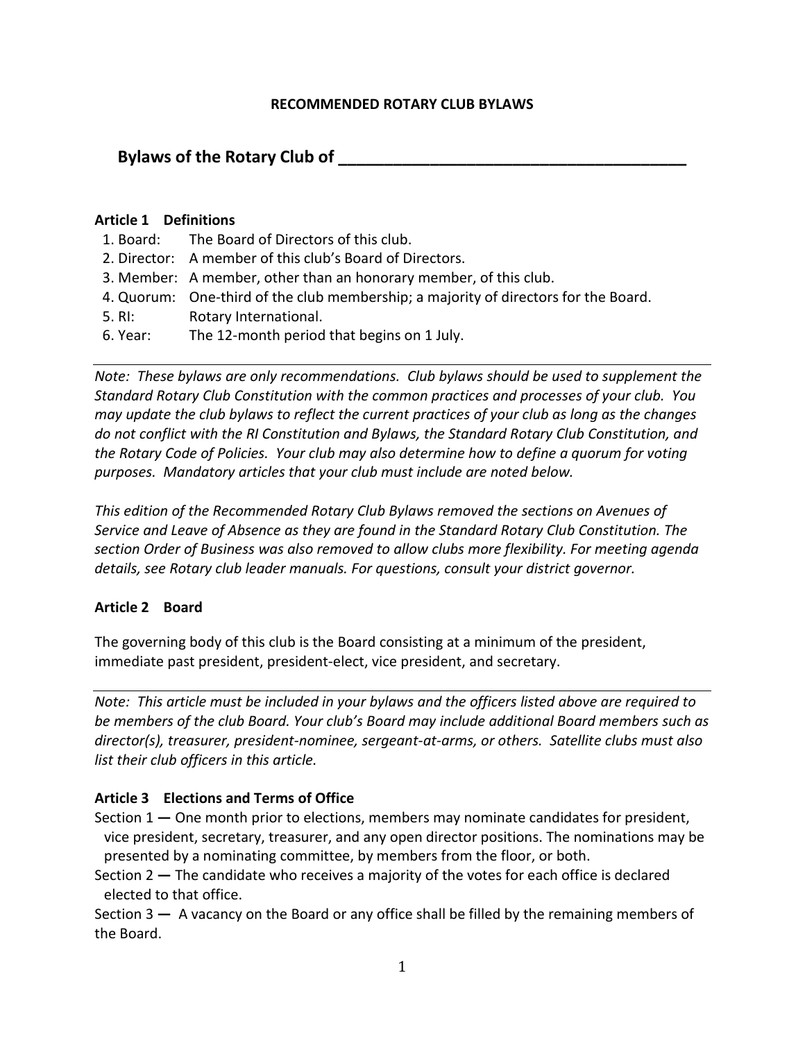#### **RECOMMENDED ROTARY CLUB BYLAWS**

# **Bylaws of the Rotary Club of \_\_\_\_\_\_\_\_\_\_\_\_\_\_\_\_\_\_\_\_\_\_\_\_\_\_\_\_\_\_\_\_\_\_\_\_\_\_**

#### **Article 1 Definitions**

- 1. Board: The Board of Directors of this club.
- 2. Director: A member of this club's Board of Directors.
- 3. Member: A member, other than an honorary member, of this club.
- 4. Quorum: One-third of the club membership; a majority of directors for the Board.
- 5. RI: Rotary International.
- 6. Year: The 12-month period that begins on 1 July.

*Note: These bylaws are only recommendations. Club bylaws should be used to supplement the Standard Rotary Club Constitution with the common practices and processes of your club. You may update the club bylaws to reflect the current practices of your club as long as the changes do not conflict with the RI Constitution and Bylaws, the Standard Rotary Club Constitution, and the Rotary Code of Policies. Your club may also determine how to define a quorum for voting purposes. Mandatory articles that your club must include are noted below.* 

*This edition of the Recommended Rotary Club Bylaws removed the sections on Avenues of Service and Leave of Absence as they are found in the Standard Rotary Club Constitution. The section Order of Business was also removed to allow clubs more flexibility. For meeting agenda details, see Rotary club leader manuals. For questions, consult your district governor.*

### **Article 2 Board**

The governing body of this club is the Board consisting at a minimum of the president, immediate past president, president-elect, vice president, and secretary.

*Note: This article must be included in your bylaws and the officers listed above are required to be members of the club Board. Your club's Board may include additional Board members such as director(s), treasurer, president-nominee, sergeant-at-arms, or others. Satellite clubs must also list their club officers in this article.*

#### **Article 3 Elections and Terms of Office**

Section 1 **—** One month prior to elections, members may nominate candidates for president, vice president, secretary, treasurer, and any open director positions. The nominations may be presented by a nominating committee, by members from the floor, or both.

Section 2 **—** The candidate who receives a majority of the votes for each office is declared elected to that office.

Section 3 **—** A vacancy on the Board or any office shall be filled by the remaining members of the Board.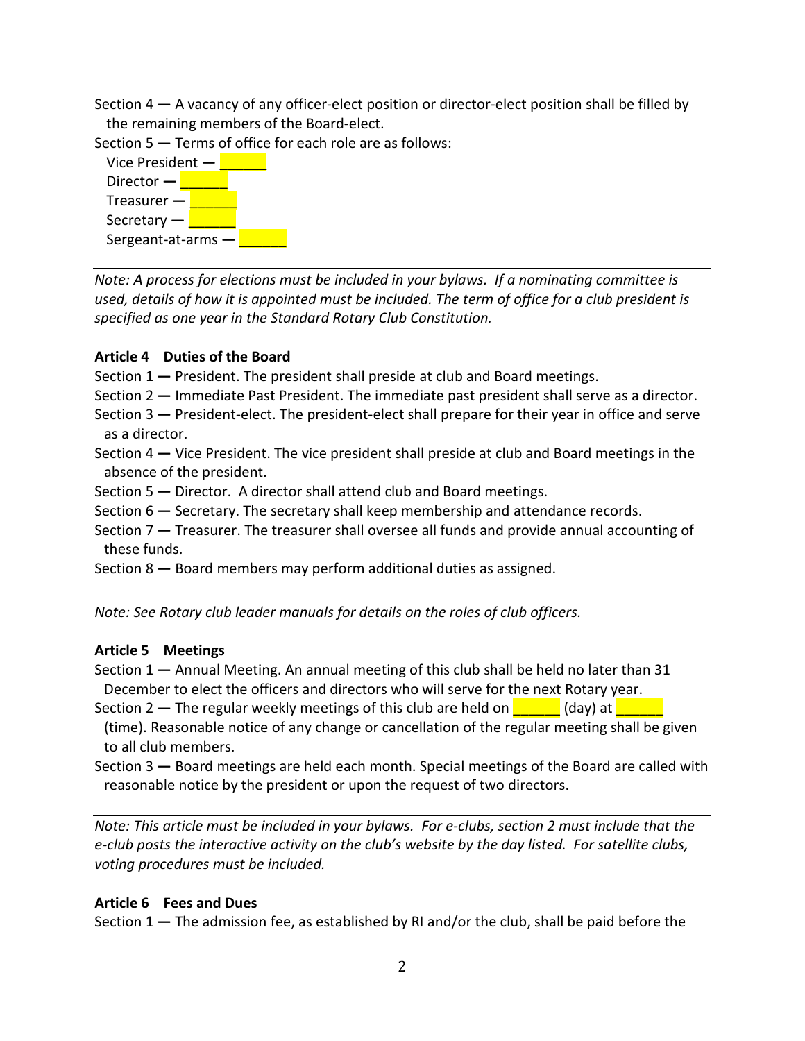Section 4 **—** A vacancy of any officer-elect position or director-elect position shall be filled by the remaining members of the Board-elect.

Section 5 **—** Terms of office for each role are as follows:



*Note: A process for elections must be included in your bylaws. If a nominating committee is used, details of how it is appointed must be included. The term of office for a club president is specified as one year in the Standard Rotary Club Constitution.*

## **Article 4 Duties of the Board**

Section 1 **—** President. The president shall preside at club and Board meetings.

Section 2 **—** Immediate Past President. The immediate past president shall serve as a director.

- Section 3 **—** President-elect. The president-elect shall prepare for their year in office and serve as a director.
- Section 4 **—** Vice President. The vice president shall preside at club and Board meetings in the absence of the president.
- Section 5 **—** Director. A director shall attend club and Board meetings.
- Section 6 **—** Secretary. The secretary shall keep membership and attendance records.
- Section 7 **—** Treasurer. The treasurer shall oversee all funds and provide annual accounting of these funds.
- Section 8 **—** Board members may perform additional duties as assigned.

*Note: See Rotary club leader manuals for details on the roles of club officers.* 

# **Article 5 Meetings**

- Section 1 **—** Annual Meeting. An annual meeting of this club shall be held no later than 31 December to elect the officers and directors who will serve for the next Rotary year.
- Section 2 The regular weekly meetings of this club are held on **Letch Lines (day)** at **Letch**
- (time). Reasonable notice of any change or cancellation of the regular meeting shall be given to all club members.
- Section 3 **—** Board meetings are held each month. Special meetings of the Board are called with reasonable notice by the president or upon the request of two directors.

*Note: This article must be included in your bylaws. For e-clubs, section 2 must include that the e-club posts the interactive activity on the club's website by the day listed. For satellite clubs, voting procedures must be included.*

# **Article 6 Fees and Dues**

Section 1 **—** The admission fee, as established by RI and/or the club, shall be paid before the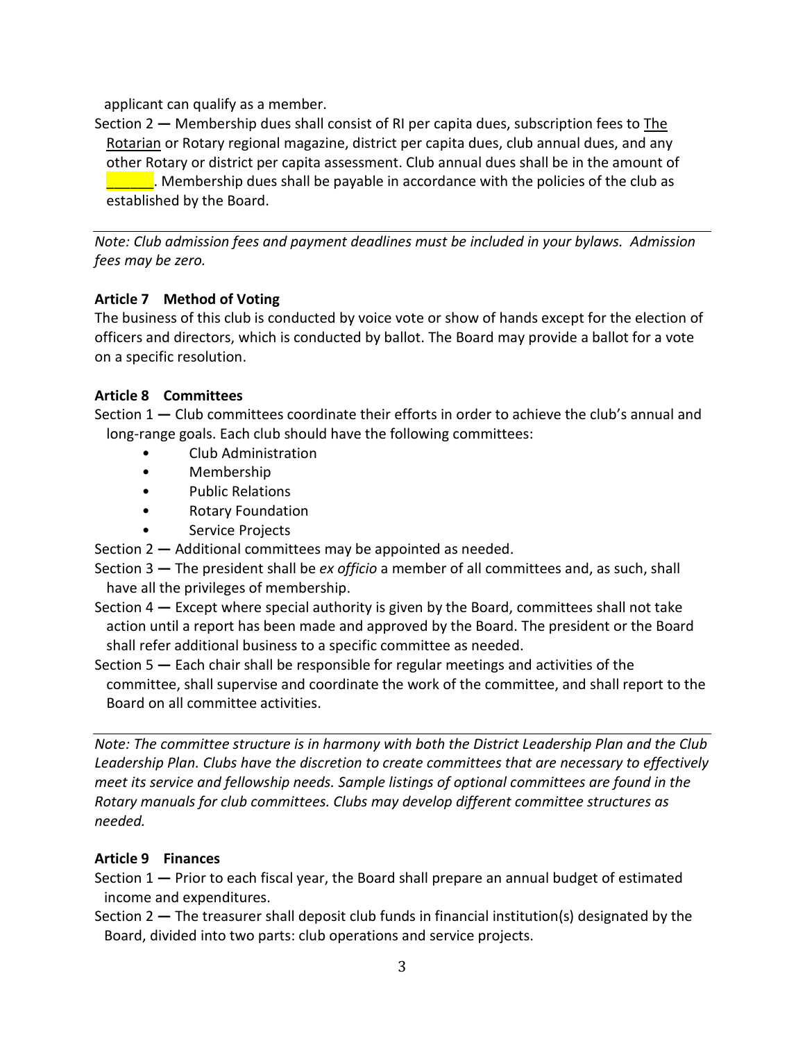applicant can qualify as a member.

Section 2 **—** Membership dues shall consist of RI per capita dues, subscription fees to The Rotarian or Rotary regional magazine, district per capita dues, club annual dues, and any other Rotary or district per capita assessment. Club annual dues shall be in the amount of  $\blacksquare$  Membership dues shall be payable in accordance with the policies of the club as established by the Board.

*Note: Club admission fees and payment deadlines must be included in your bylaws. Admission fees may be zero.*

### **Article 7 Method of Voting**

The business of this club is conducted by voice vote or show of hands except for the election of officers and directors, which is conducted by ballot. The Board may provide a ballot for a vote on a specific resolution.

### **Article 8 Committees**

Section 1 **—** Club committees coordinate their efforts in order to achieve the club's annual and long-range goals. Each club should have the following committees:

- Club Administration
- Membership
- Public Relations
- Rotary Foundation
- Service Projects

Section 2 **—** Additional committees may be appointed as needed.

- Section 3 **—** The president shall be *ex officio* a member of all committees and, as such, shall have all the privileges of membership.
- Section 4 **—** Except where special authority is given by the Board, committees shall not take action until a report has been made and approved by the Board. The president or the Board shall refer additional business to a specific committee as needed.
- Section 5 **—** Each chair shall be responsible for regular meetings and activities of the committee, shall supervise and coordinate the work of the committee, and shall report to the Board on all committee activities.

*Note: The committee structure is in harmony with both the District Leadership Plan and the Club Leadership Plan. Clubs have the discretion to create committees that are necessary to effectively meet its service and fellowship needs. Sample listings of optional committees are found in the Rotary manuals for club committees. Clubs may develop different committee structures as needed.*

### **Article 9 Finances**

Section 1 **—** Prior to each fiscal year, the Board shall prepare an annual budget of estimated income and expenditures.

Section 2 **—** The treasurer shall deposit club funds in financial institution(s) designated by the Board, divided into two parts: club operations and service projects.